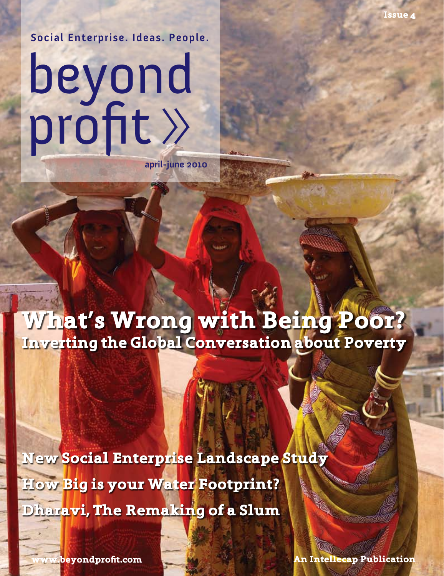**Social Enterprise. Ideas. People.**

# beyond profit

**april-june 2010**

**What's Wrong with Being Poor? Inverting the Global Conversation about Poverty**

**How Big is your Water Footprint? Dharavi, The Remaking of a Slum New Social Enterprise Landscape Study**

**www.beyondprofit.com**

**An Intellecap Publication**

**Issue 4**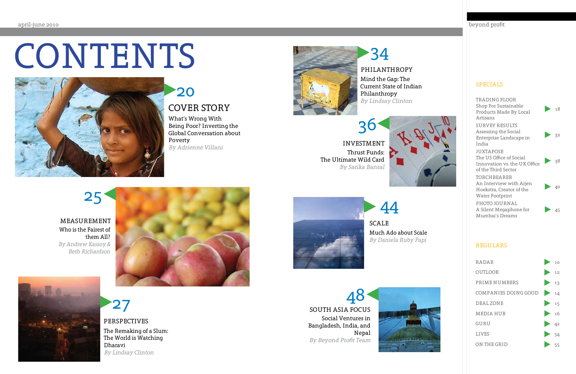# CONTENTS



What's Wrong With Being Poor? Inverting the Global Conversation about Poverty By Adrienne Villani



 $27$ The Remaking of a Slum: The World is Watching Dharavi By Lindsay Clinton PERSPECTIVES

# COVER STORY 20

### beyond profit

### Who is the Fairest of them All? By Andrew Kassoy & Beth Richardson MEASUREMENT





# 25

### SPECIALS

### SOUTH ASIA FOCUS Social Ventures in Bangladesh, India, and Nepal By Beyond Profit Team 48



| TRADING FLOOR                                                                                       |           |      |
|-----------------------------------------------------------------------------------------------------|-----------|------|
| Shop For Sustainable<br>Products Made By Local                                                      |           | 18   |
| Artisans                                                                                            |           |      |
| <b>SURVEY RESULTS</b><br>Assessing the Social<br>Enterprise Landscape in<br>India                   | $\geq$ 32 |      |
| <b>JUXTAPOSE</b><br>The US Office of Social<br>Innovation vs. the UK Office<br>of the Third Sector  | $\geq 38$ |      |
| <b>TORCHBEARER</b><br>An Interview with Arjen<br>Hoekstra, Creator of the<br><b>Water Footprint</b> |           | - 40 |
| PHOTO JOURNAL<br>A Silent Megaphone for<br>Mumbai's Dreams                                          |           | 45   |

Mind the Gap: The Current State of Indian Philanthropy By Lindsay Clinton

## PHILANTHROPY

34

INVESTMENT Thrust Funds: The Ultimate Wild Card By Sarika Bansal 36





Much Ado about Scale By Daniela Ruby Papi SCALE

44

### REGULARS

| <b>RADAR</b>              | $\rightarrow$ 10    |    |
|---------------------------|---------------------|----|
| <b>OUTLOOK</b>            | $\rightarrow$ 12    |    |
| PRIME NUMBERS             | $\rightarrow$ 13    |    |
| COMPANIES DOING GOOD $14$ |                     |    |
| DEAL ZONE                 | $\triangleright$ 15 |    |
| <b>MEDIA HUB</b>          | $\rightarrow$ 16    |    |
| GURU                      | $\rightarrow$ 42    |    |
| <b>LIVES</b>              | $\triangleright$ 54 |    |
| ON THE GRID               |                     | 55 |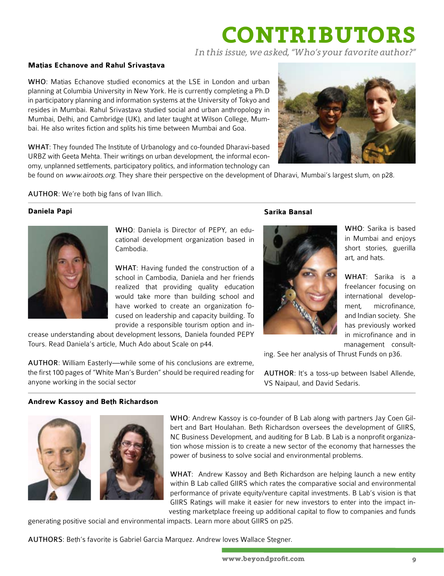# **CONTRIBUTORS**

*In this issue, we asked, "Who's your favorite author?"* 

### **Matias Echanove and Rahul Srivastava**

WHO: Matias Echanove studied economics at the LSE in London and urban planning at Columbia University in New York. He is currently completing a Ph.D in participatory planning and information systems at the University of Tokyo and resides in Mumbai. Rahul Srivastava studied social and urban anthropology in Mumbai, Delhi, and Cambridge (UK), and later taught at Wilson College, Mumbai. He also writes fiction and splits his time between Mumbai and Goa.

WHAT: They founded The Institute of Urbanology and co-founded Dharavi-based URBZ with Geeta Mehta. Their writings on urban development, the informal economy, unplanned settlements, participatory politics, and information technology can



be found on www.airoots.org. They share their perspective on the development of Dharavi, Mumbai's largest slum, on p28.

AUTHOR: We're both big fans of Ivan Illich.

#### **Daniela Papi**



WHO: Daniela is Director of PEPY, an educational development organization based in Cambodia.

WHAT: Having funded the construction of a school in Cambodia, Daniela and her friends realized that providing quality education would take more than building school and have worked to create an organization focused on leadership and capacity building. To provide a responsible tourism option and in-

crease understanding about development lessons, Daniela founded PEPY Tours. Read Daniela's article, Much Ado about Scale on p44.

AUTHOR: William Easterly—while some of his conclusions are extreme, the first 100 pages of "White Man's Burden" should be required reading for anyone working in the social sector

### **Sarika Bansal**



WHO: Sarika is based in Mumbai and enjoys short stories, guerilla art, and hats.

WHAT: Sarika is a freelancer focusing on international development, microfinance, and Indian society. She has previously worked in microfinance and in management consult-

ing. See her analysis of Thrust Funds on p36.

AUTHOR: It's a toss-up between Isabel Allende, VS Naipaul, and David Sedaris.

### **Andrew Kassoy and Beth Richardson**





WHO: Andrew Kassoy is co-founder of B Lab along with partners Jay Coen Gilbert and Bart Houlahan. Beth Richardson oversees the development of GIIRS, NC Business Development, and auditing for B Lab. B Lab is a nonprofit organization whose mission is to create a new sector of the economy that harnesses the power of business to solve social and environmental problems.

WHAT: Andrew Kassoy and Beth Richardson are helping launch a new entity within B Lab called GIIRS which rates the comparative social and environmental performance of private equity/venture capital investments. B Lab's vision is that GIIRS Ratings will make it easier for new investors to enter into the impact investing marketplace freeing up additional capital to flow to companies and funds

generating positive social and environmental impacts. Learn more about GIIRS on p25.

AUTHORS: Beth's favorite is Gabriel Garcia Marquez. Andrew loves Wallace Stegner.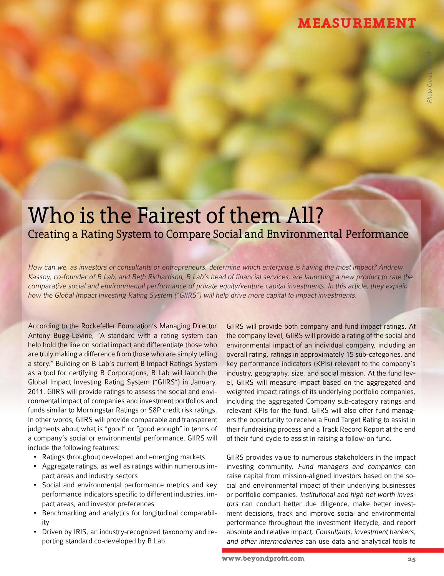## **MEASUREMENT**

# Who is the Fairest of them All? Creating a Rating System to Compare Social and Environmental Performance

How can we, as investors or consultants or entrepreneurs, determine which enterprise is having the most impact? Andrew Kassoy, co-founder of B Lab, and Beth Richardson, B Lab's head of financial services, are launching a new product to rate the comparative social and environmental performance of private equity/venture capital investments. In this article, they explain how the Global Impact Investing Rating System ("GIIRS") will help drive more capital to impact investments.

According to the Rockefeller Foundation's Managing Director Antony Bugg-Levine, "A standard with a rating system can help hold the line on social impact and differentiate those who are truly making a difference from those who are simply telling a story." Building on B Lab's current B Impact Ratings System as a tool for certifying B Corporations, B Lab will launch the Global Impact Investing Rating System ("GIIRS") in January, 2011. GIIRS will provide ratings to assess the social and environmental impact of companies and investment portfolios and funds similar to Morningstar Ratings or S&P credit risk ratings. In other words, GIIRS will provide comparable and transparent judgments about what is "good" or "good enough" in terms of a company's social or environmental performance. GIIRS will include the following features:

- Ratings throughout developed and emerging markets
- • Aggregate ratings, as well as ratings within numerous impact areas and industry sectors
- Social and environmental performance metrics and key performance indicators specific to different industries, impact areas, and investor preferences
- Benchmarking and analytics for longitudinal comparability
- Driven by IRIS, an industry-recognized taxonomy and reporting standard co-developed by B Lab

GIIRS will provide both company and fund impact ratings. At the company level, GIIRS will provide a rating of the social and environmental impact of an individual company, including an overall rating, ratings in approximately 15 sub-categories, and key performance indicators (KPIs) relevant to the company's industry, geography, size, and social mission. At the fund level, GIIRS will measure impact based on the aggregated and weighted impact ratings of its underlying portfolio companies, including the aggregated Company sub-category ratings and relevant KPIs for the fund. GIIRS will also offer fund managers the opportunity to receive a Fund Target Rating to assist in their fundraising process and a Track Record Report at the end of their fund cycle to assist in raising a follow-on fund.

GIIRS provides value to numerous stakeholders in the impact investing community. Fund managers and companies can raise capital from mission-aligned investors based on the social and environmental impact of their underlying businesses or portfolio companies. Institutional and high net worth investors can conduct better due diligence, make better investment decisions, track and improve social and environmental performance throughout the investment lifecycle, and report absolute and relative impact. Consultants, investment bankers, and other intermediaries can use data and analytical tools to